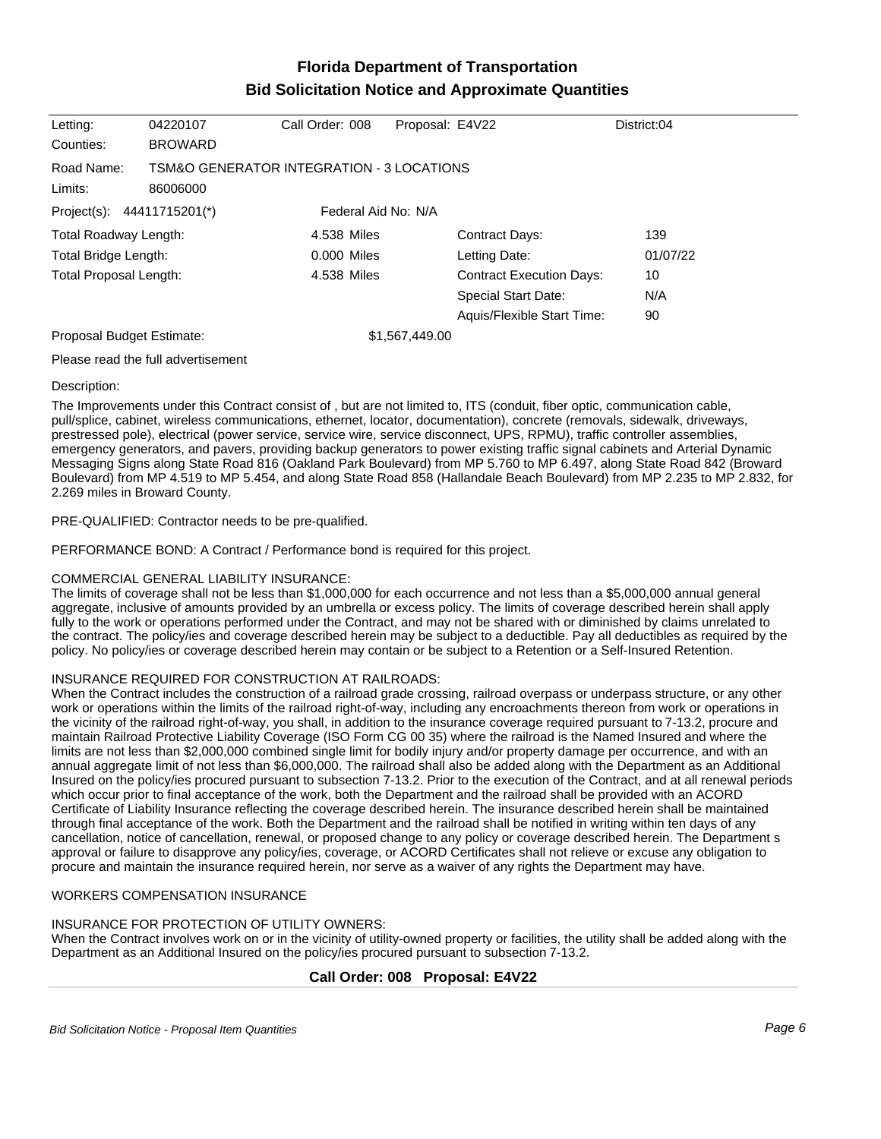# **Florida Department of Transportation Bid Solicitation Notice and Approximate Quantities**

| Letting:                      | 04220107                                              | Call Order: 008     | Proposal: E4V22 |                                 | District:04 |
|-------------------------------|-------------------------------------------------------|---------------------|-----------------|---------------------------------|-------------|
| Counties:                     | <b>BROWARD</b>                                        |                     |                 |                                 |             |
| Road Name:<br>Limits:         | TSM&O GENERATOR INTEGRATION - 3 LOCATIONS<br>86006000 |                     |                 |                                 |             |
| Project(s): 44411715201(*)    |                                                       | Federal Aid No: N/A |                 |                                 |             |
| <b>Total Roadway Length:</b>  |                                                       | 4.538 Miles         |                 | Contract Days:                  | 139         |
| Total Bridge Length:          |                                                       | 0.000 Miles         |                 | Letting Date:                   | 01/07/22    |
| <b>Total Proposal Length:</b> |                                                       | 4.538 Miles         |                 | <b>Contract Execution Days:</b> | 10          |
|                               |                                                       |                     |                 | <b>Special Start Date:</b>      | N/A         |
|                               |                                                       |                     |                 | Aquis/Flexible Start Time:      | 90          |
| Proposal Budget Estimate:     |                                                       |                     | \$1,567,449.00  |                                 |             |
|                               |                                                       |                     |                 |                                 |             |

Please read the full advertisement

#### Description:

The Improvements under this Contract consist of , but are not limited to, ITS (conduit, fiber optic, communication cable, pull/splice, cabinet, wireless communications, ethernet, locator, documentation), concrete (removals, sidewalk, driveways, prestressed pole), electrical (power service, service wire, service disconnect, UPS, RPMU), traffic controller assemblies, emergency generators, and pavers, providing backup generators to power existing traffic signal cabinets and Arterial Dynamic Messaging Signs along State Road 816 (Oakland Park Boulevard) from MP 5.760 to MP 6.497, along State Road 842 (Broward Boulevard) from MP 4.519 to MP 5.454, and along State Road 858 (Hallandale Beach Boulevard) from MP 2.235 to MP 2.832, for 2.269 miles in Broward County.

#### PRE-QUALIFIED: Contractor needs to be pre-qualified.

PERFORMANCE BOND: A Contract / Performance bond is required for this project.

## COMMERCIAL GENERAL LIABILITY INSURANCE:

The limits of coverage shall not be less than \$1,000,000 for each occurrence and not less than a \$5,000,000 annual general aggregate, inclusive of amounts provided by an umbrella or excess policy. The limits of coverage described herein shall apply fully to the work or operations performed under the Contract, and may not be shared with or diminished by claims unrelated to the contract. The policy/ies and coverage described herein may be subject to a deductible. Pay all deductibles as required by the policy. No policy/ies or coverage described herein may contain or be subject to a Retention or a Self-Insured Retention.

#### INSURANCE REQUIRED FOR CONSTRUCTION AT RAILROADS:

When the Contract includes the construction of a railroad grade crossing, railroad overpass or underpass structure, or any other work or operations within the limits of the railroad right-of-way, including any encroachments thereon from work or operations in the vicinity of the railroad right-of-way, you shall, in addition to the insurance coverage required pursuant to 7-13.2, procure and maintain Railroad Protective Liability Coverage (ISO Form CG 00 35) where the railroad is the Named Insured and where the limits are not less than \$2,000,000 combined single limit for bodily injury and/or property damage per occurrence, and with an annual aggregate limit of not less than \$6,000,000. The railroad shall also be added along with the Department as an Additional Insured on the policy/ies procured pursuant to subsection 7-13.2. Prior to the execution of the Contract, and at all renewal periods which occur prior to final acceptance of the work, both the Department and the railroad shall be provided with an ACORD Certificate of Liability Insurance reflecting the coverage described herein. The insurance described herein shall be maintained through final acceptance of the work. Both the Department and the railroad shall be notified in writing within ten days of any cancellation, notice of cancellation, renewal, or proposed change to any policy or coverage described herein. The Department s approval or failure to disapprove any policy/ies, coverage, or ACORD Certificates shall not relieve or excuse any obligation to procure and maintain the insurance required herein, nor serve as a waiver of any rights the Department may have.

## WORKERS COMPENSATION INSURANCE

#### INSURANCE FOR PROTECTION OF UTILITY OWNERS:

When the Contract involves work on or in the vicinity of utility-owned property or facilities, the utility shall be added along with the Department as an Additional Insured on the policy/ies procured pursuant to subsection 7-13.2.

## **Call Order: 008 Proposal: E4V22**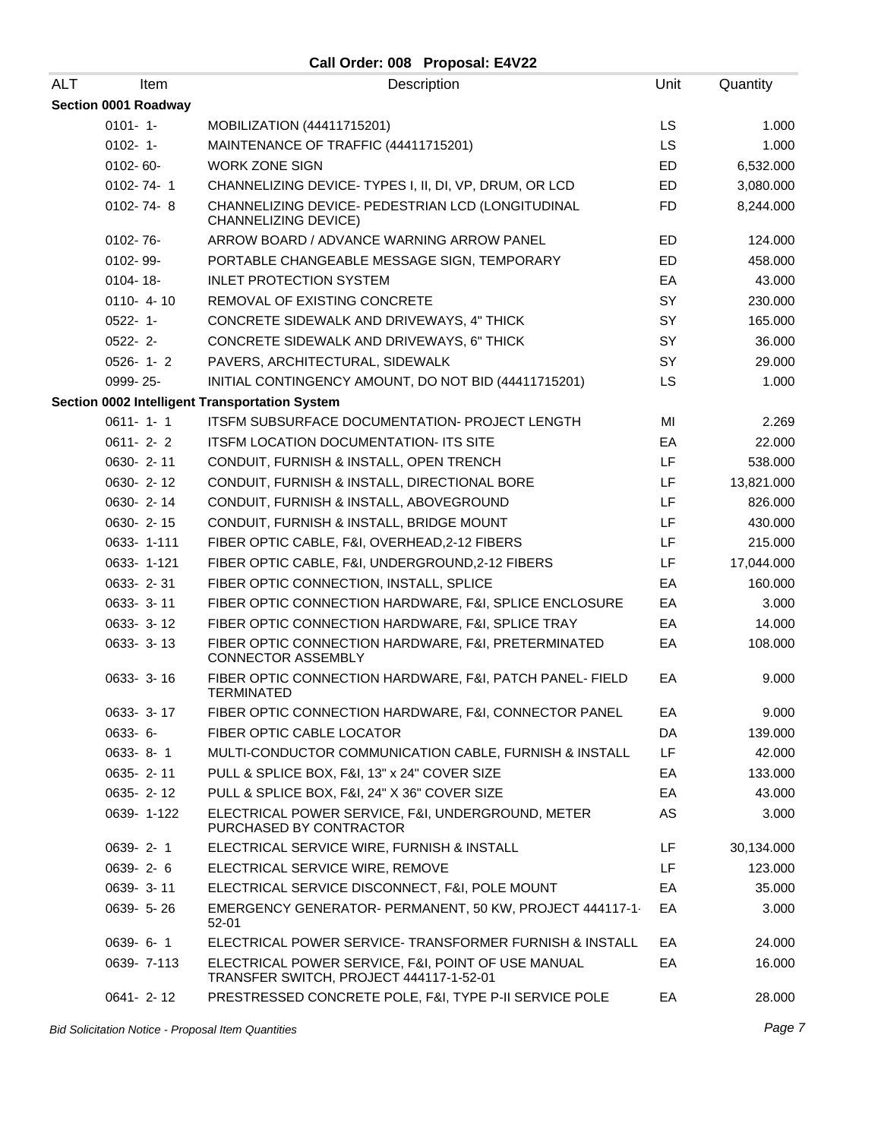## **Call Order: 008 Proposal: E4V22**

| <b>ALT</b><br>Item   | Description                                                                                   | Unit      | Quantity   |
|----------------------|-----------------------------------------------------------------------------------------------|-----------|------------|
| Section 0001 Roadway |                                                                                               |           |            |
| $0101 - 1 -$         | MOBILIZATION (44411715201)                                                                    | <b>LS</b> | 1.000      |
| $0102 - 1 -$         | MAINTENANCE OF TRAFFIC (44411715201)                                                          | <b>LS</b> | 1.000      |
| 0102-60-             | <b>WORK ZONE SIGN</b>                                                                         | ED        | 6,532.000  |
| 0102-74-1            | CHANNELIZING DEVICE- TYPES I, II, DI, VP, DRUM, OR LCD                                        | ED        | 3,080.000  |
| $0102 - 74 - 8$      | CHANNELIZING DEVICE- PEDESTRIAN LCD (LONGITUDINAL<br><b>CHANNELIZING DEVICE)</b>              | <b>FD</b> | 8,244.000  |
| $0102 - 76 -$        | ARROW BOARD / ADVANCE WARNING ARROW PANEL                                                     | <b>ED</b> | 124.000    |
| 0102-99-             | PORTABLE CHANGEABLE MESSAGE SIGN, TEMPORARY                                                   | ED        | 458.000    |
| 0104-18-             | <b>INLET PROTECTION SYSTEM</b>                                                                | EA        | 43.000     |
| $0110 - 4 - 10$      | REMOVAL OF EXISTING CONCRETE                                                                  | SY        | 230.000    |
| 0522-1-              | CONCRETE SIDEWALK AND DRIVEWAYS, 4" THICK                                                     | SY        | 165.000    |
| $0522 - 2$ -         | CONCRETE SIDEWALK AND DRIVEWAYS, 6" THICK                                                     | SY        | 36.000     |
| $0526 - 1 - 2$       | PAVERS, ARCHITECTURAL, SIDEWALK                                                               | SY        | 29.000     |
| 0999-25-             | INITIAL CONTINGENCY AMOUNT, DO NOT BID (44411715201)                                          | LS        | 1.000      |
|                      | Section 0002 Intelligent Transportation System                                                |           |            |
| $0611 - 1 - 1$       | <b>ITSFM SUBSURFACE DOCUMENTATION- PROJECT LENGTH</b>                                         | MI        | 2.269      |
| $0611 - 2 - 2$       | ITSFM LOCATION DOCUMENTATION- ITS SITE                                                        | EA        | 22.000     |
| 0630-2-11            | CONDUIT, FURNISH & INSTALL, OPEN TRENCH                                                       | LF        | 538.000    |
| 0630-2-12            | CONDUIT, FURNISH & INSTALL, DIRECTIONAL BORE                                                  | LF        | 13,821.000 |
| 0630-2-14            | CONDUIT, FURNISH & INSTALL, ABOVEGROUND                                                       | LF        | 826.000    |
| 0630-2-15            | CONDUIT, FURNISH & INSTALL, BRIDGE MOUNT                                                      | LF        | 430.000    |
| 0633-1-111           | FIBER OPTIC CABLE, F&I, OVERHEAD, 2-12 FIBERS                                                 | LF        | 215.000    |
| 0633-1-121           | FIBER OPTIC CABLE, F&I, UNDERGROUND,2-12 FIBERS                                               | LF        | 17,044.000 |
| 0633-2-31            | FIBER OPTIC CONNECTION, INSTALL, SPLICE                                                       | EA        | 160.000    |
| 0633- 3-11           | FIBER OPTIC CONNECTION HARDWARE, F&I, SPLICE ENCLOSURE                                        | EA        | 3.000      |
| 0633- 3-12           | FIBER OPTIC CONNECTION HARDWARE, F&I, SPLICE TRAY                                             | EA        | 14.000     |
| 0633- 3-13           | FIBER OPTIC CONNECTION HARDWARE, F&I, PRETERMINATED<br><b>CONNECTOR ASSEMBLY</b>              | EA        | 108.000    |
| 0633- 3-16           | FIBER OPTIC CONNECTION HARDWARE, F&I, PATCH PANEL- FIELD<br><b>TERMINATED</b>                 | EA        | 9.000      |
| $0633 - 3 - 17$      | FIBER OPTIC CONNECTION HARDWARE, F&I, CONNECTOR PANEL                                         | EА        | 9.000      |
| $0633 - 6 -$         | FIBER OPTIC CABLE LOCATOR                                                                     | DA        | 139.000    |
| 0633-8-1             | MULTI-CONDUCTOR COMMUNICATION CABLE, FURNISH & INSTALL                                        | LF        | 42.000     |
| 0635-2-11            | PULL & SPLICE BOX, F&I, 13" x 24" COVER SIZE                                                  | EA        | 133.000    |
| 0635-2-12            | PULL & SPLICE BOX, F&I, 24" X 36" COVER SIZE                                                  | EA        | 43.000     |
| 0639-1-122           | ELECTRICAL POWER SERVICE, F&I, UNDERGROUND, METER<br>PURCHASED BY CONTRACTOR                  | AS        | 3.000      |
| 0639-2-1             | ELECTRICAL SERVICE WIRE, FURNISH & INSTALL                                                    | LF        | 30,134.000 |
| $0639 - 2 - 6$       | ELECTRICAL SERVICE WIRE, REMOVE                                                               | LF        | 123.000    |
| 0639-3-11            | ELECTRICAL SERVICE DISCONNECT, F&I, POLE MOUNT                                                | EA        | 35.000     |
| 0639- 5-26           | EMERGENCY GENERATOR- PERMANENT, 50 KW, PROJECT 444117-1<br>$52 - 01$                          | EA        | 3.000      |
| 0639-6-1             | ELECTRICAL POWER SERVICE- TRANSFORMER FURNISH & INSTALL                                       | EA        | 24.000     |
| 0639-7-113           | ELECTRICAL POWER SERVICE, F&I, POINT OF USE MANUAL<br>TRANSFER SWITCH, PROJECT 444117-1-52-01 | EA        | 16.000     |
| 0641-2-12            | PRESTRESSED CONCRETE POLE, F&I, TYPE P-II SERVICE POLE                                        | EA        | 28.000     |

Bid Solicitation Notice - Proposal Item Quantities **Page 7** and the set of the set of the set of the set of the set of the set of the set of the set of the set of the set of the set of the set of the set of the set of the